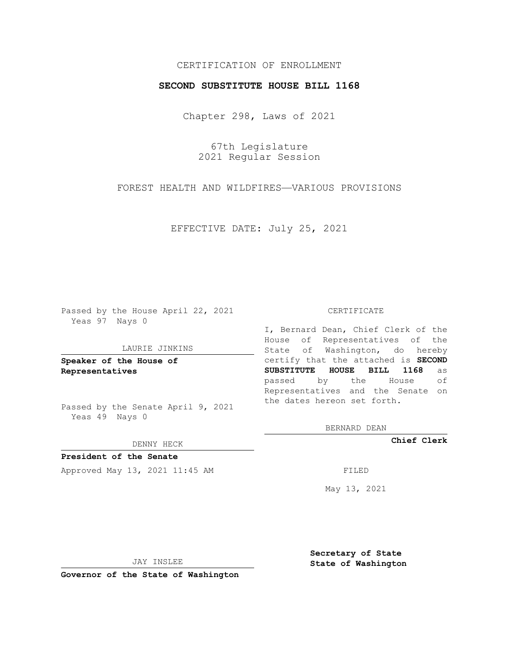# CERTIFICATION OF ENROLLMENT

## **SECOND SUBSTITUTE HOUSE BILL 1168**

Chapter 298, Laws of 2021

67th Legislature 2021 Regular Session

FOREST HEALTH AND WILDFIRES—VARIOUS PROVISIONS

EFFECTIVE DATE: July 25, 2021

Passed by the House April 22, 2021 Yeas 97 Nays 0

#### LAURIE JINKINS

**Speaker of the House of Representatives**

Passed by the Senate April 9, 2021 Yeas 49 Nays 0

DENNY HECK

**President of the Senate** Approved May 13, 2021 11:45 AM FILED

CERTIFICATE

I, Bernard Dean, Chief Clerk of the House of Representatives of the State of Washington, do hereby certify that the attached is **SECOND SUBSTITUTE HOUSE BILL 1168** as passed by the House of Representatives and the Senate on the dates hereon set forth.

BERNARD DEAN

**Chief Clerk**

May 13, 2021

JAY INSLEE

**Governor of the State of Washington**

**Secretary of State State of Washington**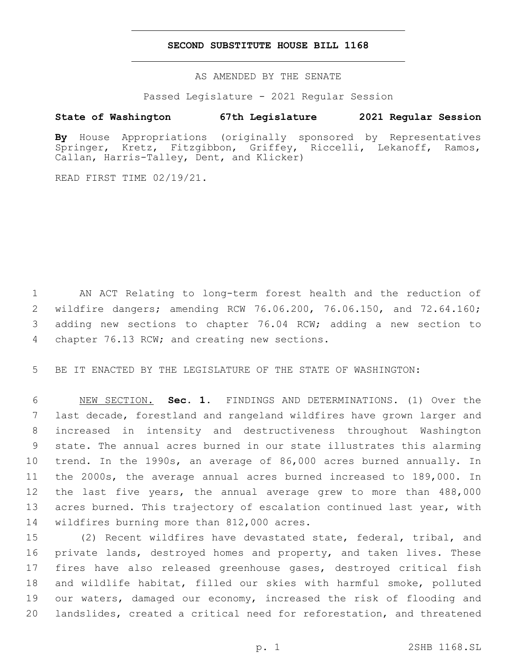## **SECOND SUBSTITUTE HOUSE BILL 1168**

AS AMENDED BY THE SENATE

Passed Legislature - 2021 Regular Session

# **State of Washington 67th Legislature 2021 Regular Session**

**By** House Appropriations (originally sponsored by Representatives Springer, Kretz, Fitzgibbon, Griffey, Riccelli, Lekanoff, Ramos, Callan, Harris-Talley, Dent, and Klicker)

READ FIRST TIME 02/19/21.

 AN ACT Relating to long-term forest health and the reduction of wildfire dangers; amending RCW 76.06.200, 76.06.150, and 72.64.160; adding new sections to chapter 76.04 RCW; adding a new section to 4 chapter 76.13 RCW; and creating new sections.

BE IT ENACTED BY THE LEGISLATURE OF THE STATE OF WASHINGTON:

 NEW SECTION. **Sec. 1.** FINDINGS AND DETERMINATIONS. (1) Over the last decade, forestland and rangeland wildfires have grown larger and increased in intensity and destructiveness throughout Washington state. The annual acres burned in our state illustrates this alarming trend. In the 1990s, an average of 86,000 acres burned annually. In the 2000s, the average annual acres burned increased to 189,000. In the last five years, the annual average grew to more than 488,000 13 acres burned. This trajectory of escalation continued last year, with wildfires burning more than 812,000 acres.

 (2) Recent wildfires have devastated state, federal, tribal, and private lands, destroyed homes and property, and taken lives. These fires have also released greenhouse gases, destroyed critical fish and wildlife habitat, filled our skies with harmful smoke, polluted our waters, damaged our economy, increased the risk of flooding and landslides, created a critical need for reforestation, and threatened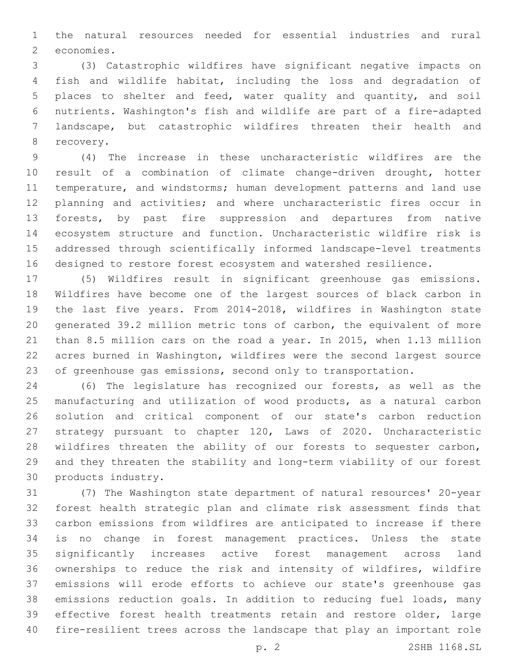the natural resources needed for essential industries and rural 2 economies.

 (3) Catastrophic wildfires have significant negative impacts on fish and wildlife habitat, including the loss and degradation of places to shelter and feed, water quality and quantity, and soil nutrients. Washington's fish and wildlife are part of a fire-adapted landscape, but catastrophic wildfires threaten their health and 8 recovery.

 (4) The increase in these uncharacteristic wildfires are the result of a combination of climate change-driven drought, hotter temperature, and windstorms; human development patterns and land use planning and activities; and where uncharacteristic fires occur in forests, by past fire suppression and departures from native ecosystem structure and function. Uncharacteristic wildfire risk is addressed through scientifically informed landscape-level treatments designed to restore forest ecosystem and watershed resilience.

 (5) Wildfires result in significant greenhouse gas emissions. Wildfires have become one of the largest sources of black carbon in the last five years. From 2014-2018, wildfires in Washington state generated 39.2 million metric tons of carbon, the equivalent of more than 8.5 million cars on the road a year. In 2015, when 1.13 million acres burned in Washington, wildfires were the second largest source of greenhouse gas emissions, second only to transportation.

 (6) The legislature has recognized our forests, as well as the manufacturing and utilization of wood products, as a natural carbon solution and critical component of our state's carbon reduction strategy pursuant to chapter 120, Laws of 2020. Uncharacteristic 28 wildfires threaten the ability of our forests to sequester carbon, and they threaten the stability and long-term viability of our forest 30 products industry.

 (7) The Washington state department of natural resources' 20-year forest health strategic plan and climate risk assessment finds that carbon emissions from wildfires are anticipated to increase if there is no change in forest management practices. Unless the state significantly increases active forest management across land ownerships to reduce the risk and intensity of wildfires, wildfire emissions will erode efforts to achieve our state's greenhouse gas emissions reduction goals. In addition to reducing fuel loads, many effective forest health treatments retain and restore older, large fire-resilient trees across the landscape that play an important role

p. 2 2SHB 1168.SL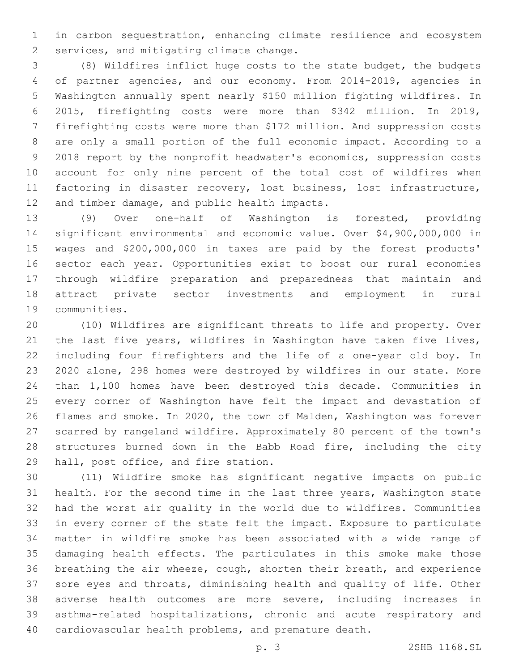in carbon sequestration, enhancing climate resilience and ecosystem 2 services, and mitigating climate change.

 (8) Wildfires inflict huge costs to the state budget, the budgets of partner agencies, and our economy. From 2014-2019, agencies in Washington annually spent nearly \$150 million fighting wildfires. In 2015, firefighting costs were more than \$342 million. In 2019, firefighting costs were more than \$172 million. And suppression costs are only a small portion of the full economic impact. According to a 2018 report by the nonprofit headwater's economics, suppression costs account for only nine percent of the total cost of wildfires when factoring in disaster recovery, lost business, lost infrastructure, 12 and timber damage, and public health impacts.

 (9) Over one-half of Washington is forested, providing significant environmental and economic value. Over \$4,900,000,000 in wages and \$200,000,000 in taxes are paid by the forest products' sector each year. Opportunities exist to boost our rural economies through wildfire preparation and preparedness that maintain and attract private sector investments and employment in rural 19 communities.

 (10) Wildfires are significant threats to life and property. Over the last five years, wildfires in Washington have taken five lives, including four firefighters and the life of a one-year old boy. In 2020 alone, 298 homes were destroyed by wildfires in our state. More than 1,100 homes have been destroyed this decade. Communities in every corner of Washington have felt the impact and devastation of flames and smoke. In 2020, the town of Malden, Washington was forever scarred by rangeland wildfire. Approximately 80 percent of the town's structures burned down in the Babb Road fire, including the city 29 hall, post office, and fire station.

 (11) Wildfire smoke has significant negative impacts on public health. For the second time in the last three years, Washington state had the worst air quality in the world due to wildfires. Communities in every corner of the state felt the impact. Exposure to particulate matter in wildfire smoke has been associated with a wide range of damaging health effects. The particulates in this smoke make those breathing the air wheeze, cough, shorten their breath, and experience sore eyes and throats, diminishing health and quality of life. Other adverse health outcomes are more severe, including increases in asthma-related hospitalizations, chronic and acute respiratory and cardiovascular health problems, and premature death.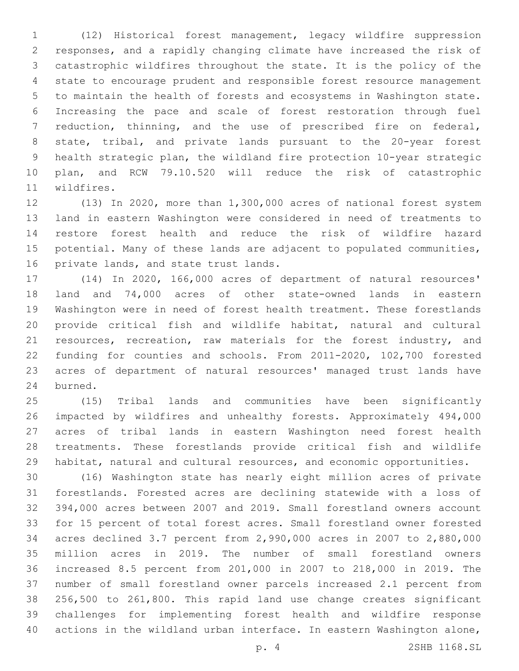(12) Historical forest management, legacy wildfire suppression responses, and a rapidly changing climate have increased the risk of catastrophic wildfires throughout the state. It is the policy of the state to encourage prudent and responsible forest resource management to maintain the health of forests and ecosystems in Washington state. Increasing the pace and scale of forest restoration through fuel reduction, thinning, and the use of prescribed fire on federal, state, tribal, and private lands pursuant to the 20-year forest health strategic plan, the wildland fire protection 10-year strategic plan, and RCW 79.10.520 will reduce the risk of catastrophic 11 wildfires.

 (13) In 2020, more than 1,300,000 acres of national forest system land in eastern Washington were considered in need of treatments to restore forest health and reduce the risk of wildfire hazard potential. Many of these lands are adjacent to populated communities, 16 private lands, and state trust lands.

 (14) In 2020, 166,000 acres of department of natural resources' land and 74,000 acres of other state-owned lands in eastern Washington were in need of forest health treatment. These forestlands provide critical fish and wildlife habitat, natural and cultural 21 resources, recreation, raw materials for the forest industry, and funding for counties and schools. From 2011-2020, 102,700 forested acres of department of natural resources' managed trust lands have 24 burned.

 (15) Tribal lands and communities have been significantly impacted by wildfires and unhealthy forests. Approximately 494,000 acres of tribal lands in eastern Washington need forest health treatments. These forestlands provide critical fish and wildlife habitat, natural and cultural resources, and economic opportunities.

 (16) Washington state has nearly eight million acres of private forestlands. Forested acres are declining statewide with a loss of 394,000 acres between 2007 and 2019. Small forestland owners account for 15 percent of total forest acres. Small forestland owner forested acres declined 3.7 percent from 2,990,000 acres in 2007 to 2,880,000 million acres in 2019. The number of small forestland owners increased 8.5 percent from 201,000 in 2007 to 218,000 in 2019. The number of small forestland owner parcels increased 2.1 percent from 256,500 to 261,800. This rapid land use change creates significant challenges for implementing forest health and wildfire response 40 actions in the wildland urban interface. In eastern Washington alone,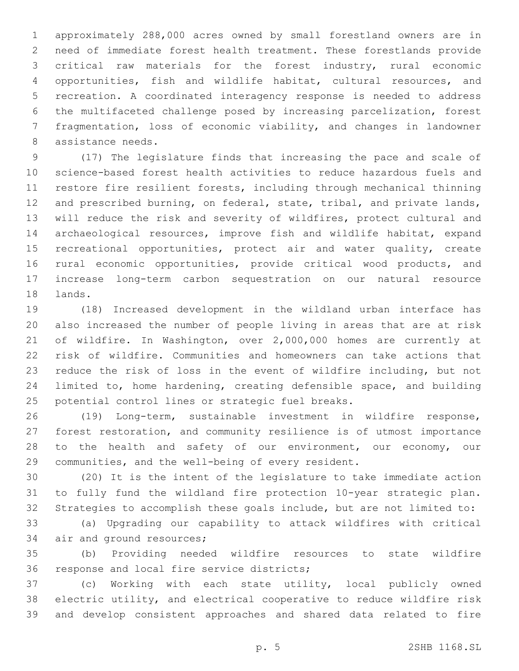approximately 288,000 acres owned by small forestland owners are in need of immediate forest health treatment. These forestlands provide critical raw materials for the forest industry, rural economic opportunities, fish and wildlife habitat, cultural resources, and recreation. A coordinated interagency response is needed to address the multifaceted challenge posed by increasing parcelization, forest fragmentation, loss of economic viability, and changes in landowner 8 assistance needs.

 (17) The legislature finds that increasing the pace and scale of science-based forest health activities to reduce hazardous fuels and restore fire resilient forests, including through mechanical thinning 12 and prescribed burning, on federal, state, tribal, and private lands, will reduce the risk and severity of wildfires, protect cultural and archaeological resources, improve fish and wildlife habitat, expand 15 recreational opportunities, protect air and water quality, create 16 rural economic opportunities, provide critical wood products, and increase long-term carbon sequestration on our natural resource 18 lands.

 (18) Increased development in the wildland urban interface has also increased the number of people living in areas that are at risk of wildfire. In Washington, over 2,000,000 homes are currently at risk of wildfire. Communities and homeowners can take actions that reduce the risk of loss in the event of wildfire including, but not limited to, home hardening, creating defensible space, and building 25 potential control lines or strategic fuel breaks.

 (19) Long-term, sustainable investment in wildfire response, forest restoration, and community resilience is of utmost importance 28 to the health and safety of our environment, our economy, our communities, and the well-being of every resident.

 (20) It is the intent of the legislature to take immediate action to fully fund the wildland fire protection 10-year strategic plan. Strategies to accomplish these goals include, but are not limited to:

 (a) Upgrading our capability to attack wildfires with critical 34 air and ground resources;

 (b) Providing needed wildfire resources to state wildfire 36 response and local fire service districts;

 (c) Working with each state utility, local publicly owned electric utility, and electrical cooperative to reduce wildfire risk and develop consistent approaches and shared data related to fire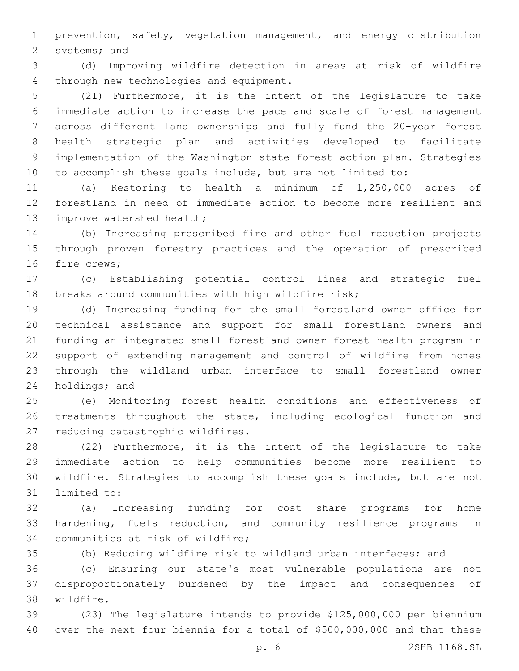prevention, safety, vegetation management, and energy distribution 2 systems; and

 (d) Improving wildfire detection in areas at risk of wildfire 4 through new technologies and equipment.

 (21) Furthermore, it is the intent of the legislature to take immediate action to increase the pace and scale of forest management across different land ownerships and fully fund the 20-year forest health strategic plan and activities developed to facilitate implementation of the Washington state forest action plan. Strategies to accomplish these goals include, but are not limited to:

 (a) Restoring to health a minimum of 1,250,000 acres of forestland in need of immediate action to become more resilient and 13 improve watershed health;

 (b) Increasing prescribed fire and other fuel reduction projects through proven forestry practices and the operation of prescribed 16 fire crews:

 (c) Establishing potential control lines and strategic fuel breaks around communities with high wildfire risk;

 (d) Increasing funding for the small forestland owner office for technical assistance and support for small forestland owners and funding an integrated small forestland owner forest health program in support of extending management and control of wildfire from homes through the wildland urban interface to small forestland owner 24 holdings; and

 (e) Monitoring forest health conditions and effectiveness of treatments throughout the state, including ecological function and 27 reducing catastrophic wildfires.

 (22) Furthermore, it is the intent of the legislature to take immediate action to help communities become more resilient to wildfire. Strategies to accomplish these goals include, but are not 31 limited to:

 (a) Increasing funding for cost share programs for home hardening, fuels reduction, and community resilience programs in 34 communities at risk of wildfire;

(b) Reducing wildfire risk to wildland urban interfaces; and

 (c) Ensuring our state's most vulnerable populations are not disproportionately burdened by the impact and consequences of wildfire.38

 (23) The legislature intends to provide \$125,000,000 per biennium over the next four biennia for a total of \$500,000,000 and that these

p. 6 2SHB 1168.SL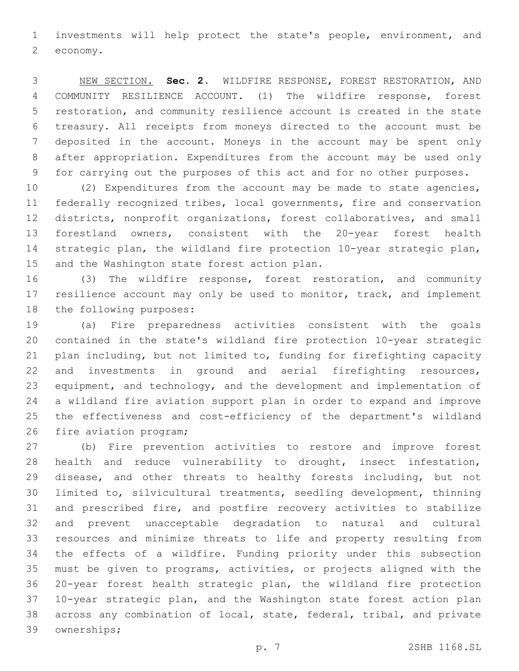investments will help protect the state's people, environment, and 2 economy.

 NEW SECTION. **Sec. 2.** WILDFIRE RESPONSE, FOREST RESTORATION, AND COMMUNITY RESILIENCE ACCOUNT. (1) The wildfire response, forest restoration, and community resilience account is created in the state treasury. All receipts from moneys directed to the account must be deposited in the account. Moneys in the account may be spent only after appropriation. Expenditures from the account may be used only for carrying out the purposes of this act and for no other purposes.

 (2) Expenditures from the account may be made to state agencies, federally recognized tribes, local governments, fire and conservation districts, nonprofit organizations, forest collaboratives, and small forestland owners, consistent with the 20-year forest health strategic plan, the wildland fire protection 10-year strategic plan, 15 and the Washington state forest action plan.

 (3) The wildfire response, forest restoration, and community 17 resilience account may only be used to monitor, track, and implement 18 the following purposes:

 (a) Fire preparedness activities consistent with the goals contained in the state's wildland fire protection 10-year strategic plan including, but not limited to, funding for firefighting capacity and investments in ground and aerial firefighting resources, equipment, and technology, and the development and implementation of a wildland fire aviation support plan in order to expand and improve the effectiveness and cost-efficiency of the department's wildland 26 fire aviation program;

 (b) Fire prevention activities to restore and improve forest health and reduce vulnerability to drought, insect infestation, 29 disease, and other threats to healthy forests including, but not limited to, silvicultural treatments, seedling development, thinning and prescribed fire, and postfire recovery activities to stabilize and prevent unacceptable degradation to natural and cultural resources and minimize threats to life and property resulting from the effects of a wildfire. Funding priority under this subsection must be given to programs, activities, or projects aligned with the 20-year forest health strategic plan, the wildland fire protection 10-year strategic plan, and the Washington state forest action plan across any combination of local, state, federal, tribal, and private 39 ownerships;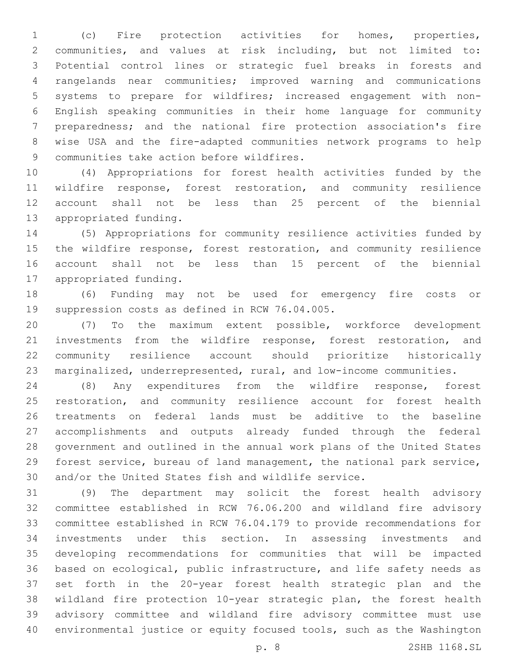(c) Fire protection activities for homes, properties, communities, and values at risk including, but not limited to: Potential control lines or strategic fuel breaks in forests and rangelands near communities; improved warning and communications systems to prepare for wildfires; increased engagement with non- English speaking communities in their home language for community preparedness; and the national fire protection association's fire wise USA and the fire-adapted communities network programs to help 9 communities take action before wildfires.

 (4) Appropriations for forest health activities funded by the wildfire response, forest restoration, and community resilience account shall not be less than 25 percent of the biennial 13 appropriated funding.

 (5) Appropriations for community resilience activities funded by the wildfire response, forest restoration, and community resilience account shall not be less than 15 percent of the biennial 17 appropriated funding.

 (6) Funding may not be used for emergency fire costs or 19 suppression costs as defined in RCW 76.04.005.

 (7) To the maximum extent possible, workforce development investments from the wildfire response, forest restoration, and community resilience account should prioritize historically marginalized, underrepresented, rural, and low-income communities.

 (8) Any expenditures from the wildfire response, forest restoration, and community resilience account for forest health treatments on federal lands must be additive to the baseline accomplishments and outputs already funded through the federal government and outlined in the annual work plans of the United States forest service, bureau of land management, the national park service, and/or the United States fish and wildlife service.

 (9) The department may solicit the forest health advisory committee established in RCW 76.06.200 and wildland fire advisory committee established in RCW 76.04.179 to provide recommendations for investments under this section. In assessing investments and developing recommendations for communities that will be impacted based on ecological, public infrastructure, and life safety needs as set forth in the 20-year forest health strategic plan and the wildland fire protection 10-year strategic plan, the forest health advisory committee and wildland fire advisory committee must use environmental justice or equity focused tools, such as the Washington

p. 8 2SHB 1168.SL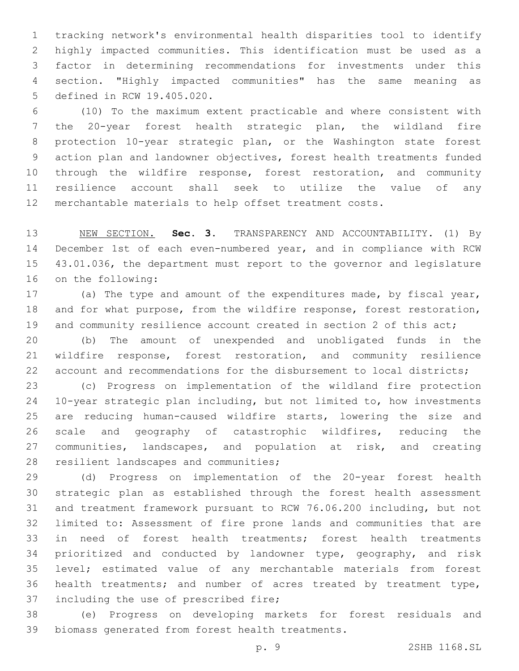tracking network's environmental health disparities tool to identify highly impacted communities. This identification must be used as a factor in determining recommendations for investments under this section. "Highly impacted communities" has the same meaning as 5 defined in RCW 19.405.020.

 (10) To the maximum extent practicable and where consistent with the 20-year forest health strategic plan, the wildland fire protection 10-year strategic plan, or the Washington state forest action plan and landowner objectives, forest health treatments funded through the wildfire response, forest restoration, and community resilience account shall seek to utilize the value of any merchantable materials to help offset treatment costs.

 NEW SECTION. **Sec. 3.** TRANSPARENCY AND ACCOUNTABILITY. (1) By December 1st of each even-numbered year, and in compliance with RCW 43.01.036, the department must report to the governor and legislature on the following:

 (a) The type and amount of the expenditures made, by fiscal year, and for what purpose, from the wildfire response, forest restoration, 19 and community resilience account created in section 2 of this act;

 (b) The amount of unexpended and unobligated funds in the wildfire response, forest restoration, and community resilience account and recommendations for the disbursement to local districts;

 (c) Progress on implementation of the wildland fire protection 10-year strategic plan including, but not limited to, how investments are reducing human-caused wildfire starts, lowering the size and scale and geography of catastrophic wildfires, reducing the communities, landscapes, and population at risk, and creating 28 resilient landscapes and communities;

 (d) Progress on implementation of the 20-year forest health strategic plan as established through the forest health assessment and treatment framework pursuant to RCW 76.06.200 including, but not limited to: Assessment of fire prone lands and communities that are in need of forest health treatments; forest health treatments prioritized and conducted by landowner type, geography, and risk level; estimated value of any merchantable materials from forest health treatments; and number of acres treated by treatment type, 37 including the use of prescribed fire;

 (e) Progress on developing markets for forest residuals and 39 biomass generated from forest health treatments.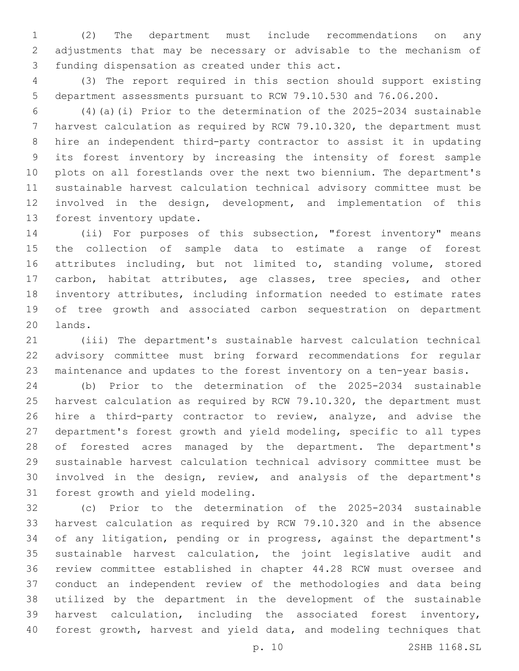(2) The department must include recommendations on any adjustments that may be necessary or advisable to the mechanism of 3 funding dispensation as created under this act.

 (3) The report required in this section should support existing department assessments pursuant to RCW 79.10.530 and 76.06.200.

 (4)(a)(i) Prior to the determination of the 2025-2034 sustainable harvest calculation as required by RCW 79.10.320, the department must hire an independent third-party contractor to assist it in updating its forest inventory by increasing the intensity of forest sample plots on all forestlands over the next two biennium. The department's sustainable harvest calculation technical advisory committee must be involved in the design, development, and implementation of this 13 forest inventory update.

 (ii) For purposes of this subsection, "forest inventory" means the collection of sample data to estimate a range of forest 16 attributes including, but not limited to, standing volume, stored carbon, habitat attributes, age classes, tree species, and other inventory attributes, including information needed to estimate rates of tree growth and associated carbon sequestration on department 20 lands.

 (iii) The department's sustainable harvest calculation technical advisory committee must bring forward recommendations for regular maintenance and updates to the forest inventory on a ten-year basis.

 (b) Prior to the determination of the 2025-2034 sustainable harvest calculation as required by RCW 79.10.320, the department must hire a third-party contractor to review, analyze, and advise the department's forest growth and yield modeling, specific to all types of forested acres managed by the department. The department's sustainable harvest calculation technical advisory committee must be involved in the design, review, and analysis of the department's 31 forest growth and yield modeling.

 (c) Prior to the determination of the 2025-2034 sustainable harvest calculation as required by RCW 79.10.320 and in the absence of any litigation, pending or in progress, against the department's sustainable harvest calculation, the joint legislative audit and review committee established in chapter 44.28 RCW must oversee and conduct an independent review of the methodologies and data being utilized by the department in the development of the sustainable harvest calculation, including the associated forest inventory, forest growth, harvest and yield data, and modeling techniques that

p. 10 2SHB 1168.SL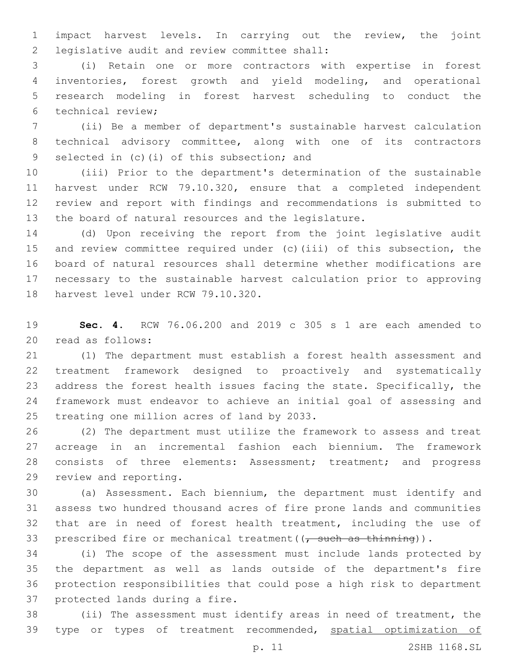impact harvest levels. In carrying out the review, the joint 2 legislative audit and review committee shall:

 (i) Retain one or more contractors with expertise in forest inventories, forest growth and yield modeling, and operational research modeling in forest harvest scheduling to conduct the 6 technical review;

 (ii) Be a member of department's sustainable harvest calculation technical advisory committee, along with one of its contractors 9 selected in (c)(i) of this subsection; and

 (iii) Prior to the department's determination of the sustainable harvest under RCW 79.10.320, ensure that a completed independent review and report with findings and recommendations is submitted to the board of natural resources and the legislature.

 (d) Upon receiving the report from the joint legislative audit and review committee required under (c)(iii) of this subsection, the board of natural resources shall determine whether modifications are necessary to the sustainable harvest calculation prior to approving 18 harvest level under RCW 79.10.320.

 **Sec. 4.** RCW 76.06.200 and 2019 c 305 s 1 are each amended to read as follows:20

 (1) The department must establish a forest health assessment and treatment framework designed to proactively and systematically address the forest health issues facing the state. Specifically, the framework must endeavor to achieve an initial goal of assessing and 25 treating one million acres of land by 2033.

 (2) The department must utilize the framework to assess and treat acreage in an incremental fashion each biennium. The framework consists of three elements: Assessment; treatment; and progress 29 review and reporting.

 (a) Assessment. Each biennium, the department must identify and assess two hundred thousand acres of fire prone lands and communities that are in need of forest health treatment, including the use of 33 prescribed fire or mechanical treatment ( $\frac{1}{7}$  such as thinning)).

 (i) The scope of the assessment must include lands protected by the department as well as lands outside of the department's fire protection responsibilities that could pose a high risk to department 37 protected lands during a fire.

 (ii) The assessment must identify areas in need of treatment, the 39 type or types of treatment recommended, spatial optimization of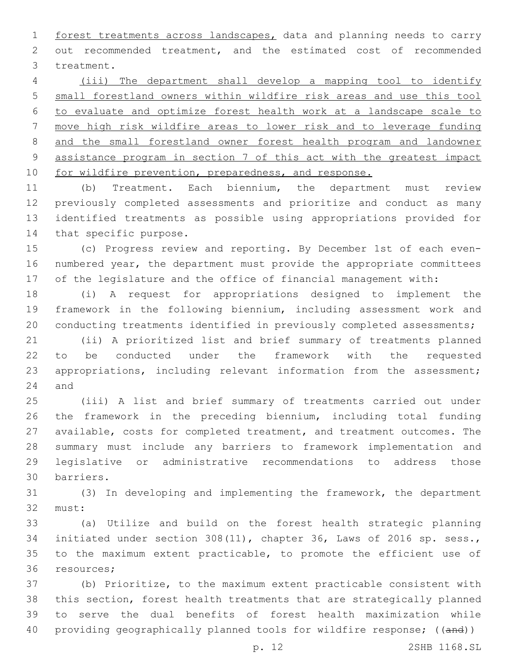forest treatments across landscapes, data and planning needs to carry out recommended treatment, and the estimated cost of recommended 3 treatment.

 (iii) The department shall develop a mapping tool to identify small forestland owners within wildfire risk areas and use this tool to evaluate and optimize forest health work at a landscape scale to move high risk wildfire areas to lower risk and to leverage funding and the small forestland owner forest health program and landowner assistance program in section 7 of this act with the greatest impact 10 for wildfire prevention, preparedness, and response.

 (b) Treatment. Each biennium, the department must review previously completed assessments and prioritize and conduct as many identified treatments as possible using appropriations provided for 14 that specific purpose.

 (c) Progress review and reporting. By December 1st of each even- numbered year, the department must provide the appropriate committees of the legislature and the office of financial management with:

 (i) A request for appropriations designed to implement the framework in the following biennium, including assessment work and conducting treatments identified in previously completed assessments;

 (ii) A prioritized list and brief summary of treatments planned to be conducted under the framework with the requested appropriations, including relevant information from the assessment; 24 and

 (iii) A list and brief summary of treatments carried out under the framework in the preceding biennium, including total funding available, costs for completed treatment, and treatment outcomes. The summary must include any barriers to framework implementation and legislative or administrative recommendations to address those barriers.30

 (3) In developing and implementing the framework, the department 32 must:

 (a) Utilize and build on the forest health strategic planning initiated under section 308(11), chapter 36, Laws of 2016 sp. sess., to the maximum extent practicable, to promote the efficient use of 36 resources;

 (b) Prioritize, to the maximum extent practicable consistent with this section, forest health treatments that are strategically planned to serve the dual benefits of forest health maximization while 40 providing geographically planned tools for wildfire response; ((and))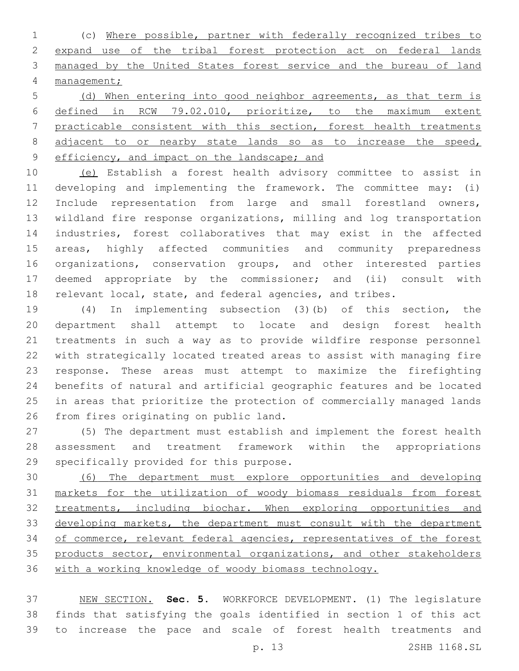(c) Where possible, partner with federally recognized tribes to expand use of the tribal forest protection act on federal lands managed by the United States forest service and the bureau of land management;

 (d) When entering into good neighbor agreements, as that term is defined in RCW 79.02.010, prioritize, to the maximum extent practicable consistent with this section, forest health treatments 8 adjacent to or nearby state lands so as to increase the speed, 9 efficiency, and impact on the landscape; and

 (e) Establish a forest health advisory committee to assist in developing and implementing the framework. The committee may: (i) Include representation from large and small forestland owners, wildland fire response organizations, milling and log transportation industries, forest collaboratives that may exist in the affected areas, highly affected communities and community preparedness organizations, conservation groups, and other interested parties deemed appropriate by the commissioner; and (ii) consult with 18 relevant local, state, and federal agencies, and tribes.

 (4) In implementing subsection (3)(b) of this section, the department shall attempt to locate and design forest health treatments in such a way as to provide wildfire response personnel with strategically located treated areas to assist with managing fire response. These areas must attempt to maximize the firefighting benefits of natural and artificial geographic features and be located in areas that prioritize the protection of commercially managed lands 26 from fires originating on public land.

 (5) The department must establish and implement the forest health assessment and treatment framework within the appropriations 29 specifically provided for this purpose.

 (6) The department must explore opportunities and developing markets for the utilization of woody biomass residuals from forest treatments, including biochar. When exploring opportunities and developing markets, the department must consult with the department of commerce, relevant federal agencies, representatives of the forest products sector, environmental organizations, and other stakeholders with a working knowledge of woody biomass technology.

 NEW SECTION. **Sec. 5.** WORKFORCE DEVELOPMENT. (1) The legislature finds that satisfying the goals identified in section 1 of this act to increase the pace and scale of forest health treatments and

p. 13 2SHB 1168.SL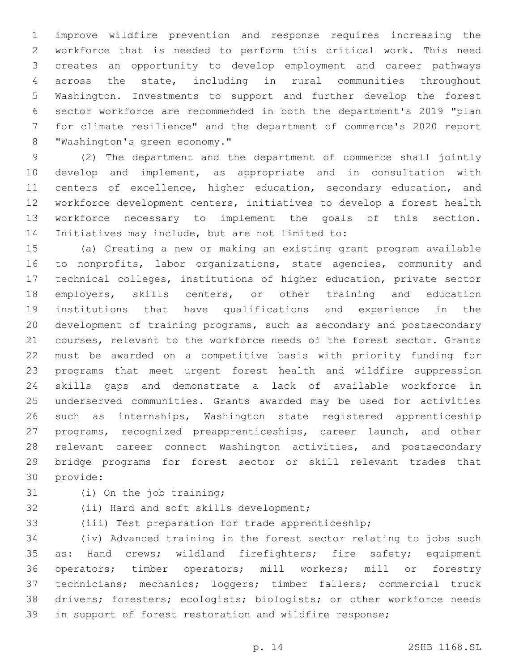improve wildfire prevention and response requires increasing the workforce that is needed to perform this critical work. This need creates an opportunity to develop employment and career pathways across the state, including in rural communities throughout Washington. Investments to support and further develop the forest sector workforce are recommended in both the department's 2019 "plan for climate resilience" and the department of commerce's 2020 report 8 "Washington's green economy."

 (2) The department and the department of commerce shall jointly develop and implement, as appropriate and in consultation with centers of excellence, higher education, secondary education, and workforce development centers, initiatives to develop a forest health workforce necessary to implement the goals of this section. 14 Initiatives may include, but are not limited to:

 (a) Creating a new or making an existing grant program available to nonprofits, labor organizations, state agencies, community and technical colleges, institutions of higher education, private sector 18 employers, skills centers, or other training and education institutions that have qualifications and experience in the development of training programs, such as secondary and postsecondary courses, relevant to the workforce needs of the forest sector. Grants must be awarded on a competitive basis with priority funding for programs that meet urgent forest health and wildfire suppression skills gaps and demonstrate a lack of available workforce in underserved communities. Grants awarded may be used for activities such as internships, Washington state registered apprenticeship programs, recognized preapprenticeships, career launch, and other relevant career connect Washington activities, and postsecondary bridge programs for forest sector or skill relevant trades that 30 provide:

31 (i) On the job training;

32 (ii) Hard and soft skills development;

(iii) Test preparation for trade apprenticeship;

 (iv) Advanced training in the forest sector relating to jobs such 35 as: Hand crews; wildland firefighters; fire safety; equipment operators; timber operators; mill workers; mill or forestry technicians; mechanics; loggers; timber fallers; commercial truck drivers; foresters; ecologists; biologists; or other workforce needs in support of forest restoration and wildfire response;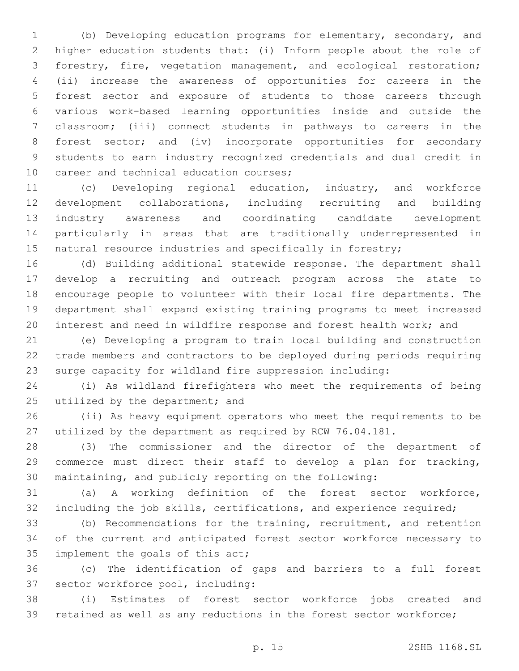(b) Developing education programs for elementary, secondary, and higher education students that: (i) Inform people about the role of forestry, fire, vegetation management, and ecological restoration; (ii) increase the awareness of opportunities for careers in the forest sector and exposure of students to those careers through various work-based learning opportunities inside and outside the classroom; (iii) connect students in pathways to careers in the forest sector; and (iv) incorporate opportunities for secondary students to earn industry recognized credentials and dual credit in 10 career and technical education courses;

 (c) Developing regional education, industry, and workforce development collaborations, including recruiting and building industry awareness and coordinating candidate development particularly in areas that are traditionally underrepresented in 15 natural resource industries and specifically in forestry;

 (d) Building additional statewide response. The department shall develop a recruiting and outreach program across the state to encourage people to volunteer with their local fire departments. The department shall expand existing training programs to meet increased interest and need in wildfire response and forest health work; and

 (e) Developing a program to train local building and construction trade members and contractors to be deployed during periods requiring surge capacity for wildland fire suppression including:

 (i) As wildland firefighters who meet the requirements of being 25 utilized by the department; and

 (ii) As heavy equipment operators who meet the requirements to be utilized by the department as required by RCW 76.04.181.

 (3) The commissioner and the director of the department of commerce must direct their staff to develop a plan for tracking, maintaining, and publicly reporting on the following:

 (a) A working definition of the forest sector workforce, including the job skills, certifications, and experience required;

 (b) Recommendations for the training, recruitment, and retention of the current and anticipated forest sector workforce necessary to 35 implement the goals of this act;

 (c) The identification of gaps and barriers to a full forest 37 sector workforce pool, including:

 (i) Estimates of forest sector workforce jobs created and retained as well as any reductions in the forest sector workforce;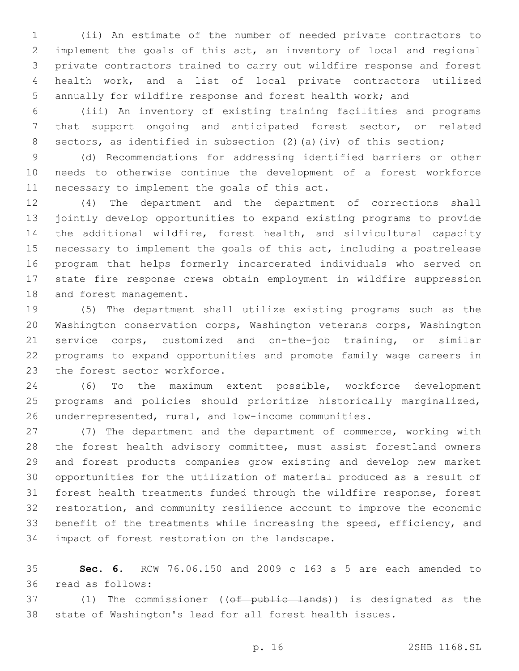(ii) An estimate of the number of needed private contractors to implement the goals of this act, an inventory of local and regional private contractors trained to carry out wildfire response and forest health work, and a list of local private contractors utilized annually for wildfire response and forest health work; and

 (iii) An inventory of existing training facilities and programs that support ongoing and anticipated forest sector, or related 8 sectors, as identified in subsection (2)(a)(iv) of this section;

 (d) Recommendations for addressing identified barriers or other needs to otherwise continue the development of a forest workforce 11 necessary to implement the goals of this act.

 (4) The department and the department of corrections shall jointly develop opportunities to expand existing programs to provide the additional wildfire, forest health, and silvicultural capacity necessary to implement the goals of this act, including a postrelease program that helps formerly incarcerated individuals who served on state fire response crews obtain employment in wildfire suppression 18 and forest management.

 (5) The department shall utilize existing programs such as the Washington conservation corps, Washington veterans corps, Washington service corps, customized and on-the-job training, or similar programs to expand opportunities and promote family wage careers in 23 the forest sector workforce.

 (6) To the maximum extent possible, workforce development programs and policies should prioritize historically marginalized, underrepresented, rural, and low-income communities.

 (7) The department and the department of commerce, working with the forest health advisory committee, must assist forestland owners and forest products companies grow existing and develop new market opportunities for the utilization of material produced as a result of forest health treatments funded through the wildfire response, forest restoration, and community resilience account to improve the economic benefit of the treatments while increasing the speed, efficiency, and 34 impact of forest restoration on the landscape.

 **Sec. 6.** RCW 76.06.150 and 2009 c 163 s 5 are each amended to 36 read as follows:

37 (1) The commissioner ((<del>of public lands</del>)) is designated as the state of Washington's lead for all forest health issues.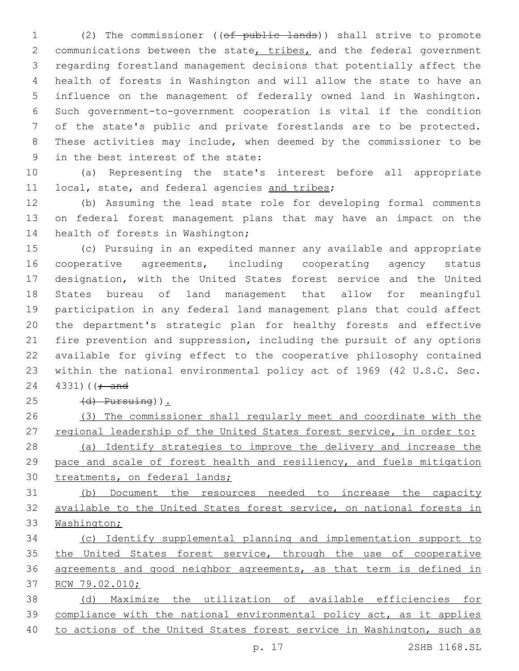(2) The commissioner ((of public lands)) shall strive to promote 2 communications between the state, tribes, and the federal government regarding forestland management decisions that potentially affect the health of forests in Washington and will allow the state to have an influence on the management of federally owned land in Washington. Such government-to-government cooperation is vital if the condition of the state's public and private forestlands are to be protected. These activities may include, when deemed by the commissioner to be 9 in the best interest of the state:

 (a) Representing the state's interest before all appropriate 11 local, state, and federal agencies and tribes;

 (b) Assuming the lead state role for developing formal comments on federal forest management plans that may have an impact on the 14 health of forests in Washington;

 (c) Pursuing in an expedited manner any available and appropriate cooperative agreements, including cooperating agency status designation, with the United States forest service and the United States bureau of land management that allow for meaningful participation in any federal land management plans that could affect the department's strategic plan for healthy forests and effective fire prevention and suppression, including the pursuit of any options available for giving effect to the cooperative philosophy contained within the national environmental policy act of 1969 (42 U.S.C. Sec. ) ( $\div$  and

(d) Pursuing)).

 (3) The commissioner shall regularly meet and coordinate with the 27 regional leadership of the United States forest service, in order to: (a) Identify strategies to improve the delivery and increase the pace and scale of forest health and resiliency, and fuels mitigation treatments, on federal lands;

 (b) Document the resources needed to increase the capacity available to the United States forest service, on national forests in Washington;

 (c) Identify supplemental planning and implementation support to 35 the United States forest service, through the use of cooperative agreements and good neighbor agreements, as that term is defined in RCW 79.02.010;

 (d) Maximize the utilization of available efficiencies for compliance with the national environmental policy act, as it applies to actions of the United States forest service in Washington, such as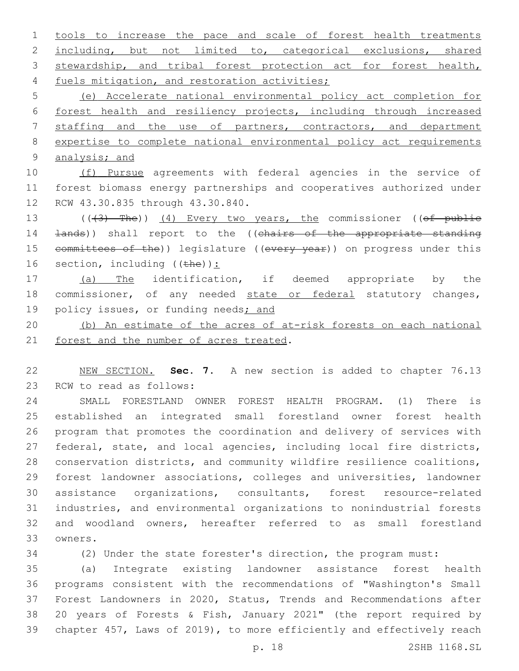tools to increase the pace and scale of forest health treatments including, but not limited to, categorical exclusions, shared stewardship, and tribal forest protection act for forest health, 4 fuels mitigation, and restoration activities;

 (e) Accelerate national environmental policy act completion for forest health and resiliency projects, including through increased staffing and the use of partners, contractors, and department expertise to complete national environmental policy act requirements analysis; and

10 (f) Pursue agreements with federal agencies in the service of forest biomass energy partnerships and cooperatives authorized under 12 RCW 43.30.835 through 43.30.840.

13 (((43) The)) (4) Every two years, the commissioner ((of public **lands)**) shall report to the ((chairs of the appropriate standing 15 committees of the)) legislature ((every year)) on progress under this 16 section, including  $((the h e))$ :

 (a) The identification, if deemed appropriate by the 18 commissioner, of any needed state or federal statutory changes, 19 policy issues, or funding needs; and

 (b) An estimate of the acres of at-risk forests on each national 21 forest and the number of acres treated.

 NEW SECTION. **Sec. 7.** A new section is added to chapter 76.13 23 RCW to read as follows:

 SMALL FORESTLAND OWNER FOREST HEALTH PROGRAM. (1) There is established an integrated small forestland owner forest health program that promotes the coordination and delivery of services with federal, state, and local agencies, including local fire districts, conservation districts, and community wildfire resilience coalitions, forest landowner associations, colleges and universities, landowner assistance organizations, consultants, forest resource-related industries, and environmental organizations to nonindustrial forests and woodland owners, hereafter referred to as small forestland 33 owners.

(2) Under the state forester's direction, the program must:

 (a) Integrate existing landowner assistance forest health programs consistent with the recommendations of "Washington's Small Forest Landowners in 2020, Status, Trends and Recommendations after 20 years of Forests & Fish, January 2021" (the report required by chapter 457, Laws of 2019), to more efficiently and effectively reach

p. 18 2SHB 1168.SL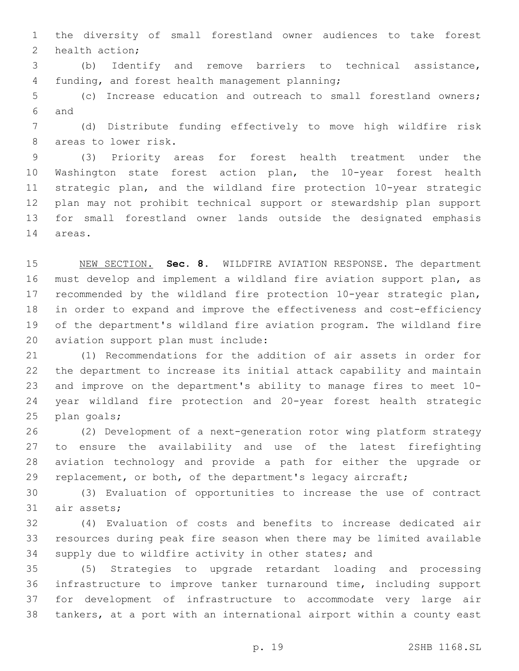the diversity of small forestland owner audiences to take forest 2 health action;

 (b) Identify and remove barriers to technical assistance, 4 funding, and forest health management planning;

 (c) Increase education and outreach to small forestland owners; 6 and

 (d) Distribute funding effectively to move high wildfire risk 8 areas to lower risk.

 (3) Priority areas for forest health treatment under the Washington state forest action plan, the 10-year forest health strategic plan, and the wildland fire protection 10-year strategic plan may not prohibit technical support or stewardship plan support for small forestland owner lands outside the designated emphasis 14 areas.

 NEW SECTION. **Sec. 8.** WILDFIRE AVIATION RESPONSE. The department must develop and implement a wildland fire aviation support plan, as recommended by the wildland fire protection 10-year strategic plan, in order to expand and improve the effectiveness and cost-efficiency of the department's wildland fire aviation program. The wildland fire aviation support plan must include:

 (1) Recommendations for the addition of air assets in order for the department to increase its initial attack capability and maintain and improve on the department's ability to manage fires to meet 10- year wildland fire protection and 20-year forest health strategic 25 plan goals;

 (2) Development of a next-generation rotor wing platform strategy to ensure the availability and use of the latest firefighting aviation technology and provide a path for either the upgrade or 29 replacement, or both, of the department's legacy aircraft;

 (3) Evaluation of opportunities to increase the use of contract 31 air assets;

 (4) Evaluation of costs and benefits to increase dedicated air resources during peak fire season when there may be limited available supply due to wildfire activity in other states; and

 (5) Strategies to upgrade retardant loading and processing infrastructure to improve tanker turnaround time, including support for development of infrastructure to accommodate very large air tankers, at a port with an international airport within a county east